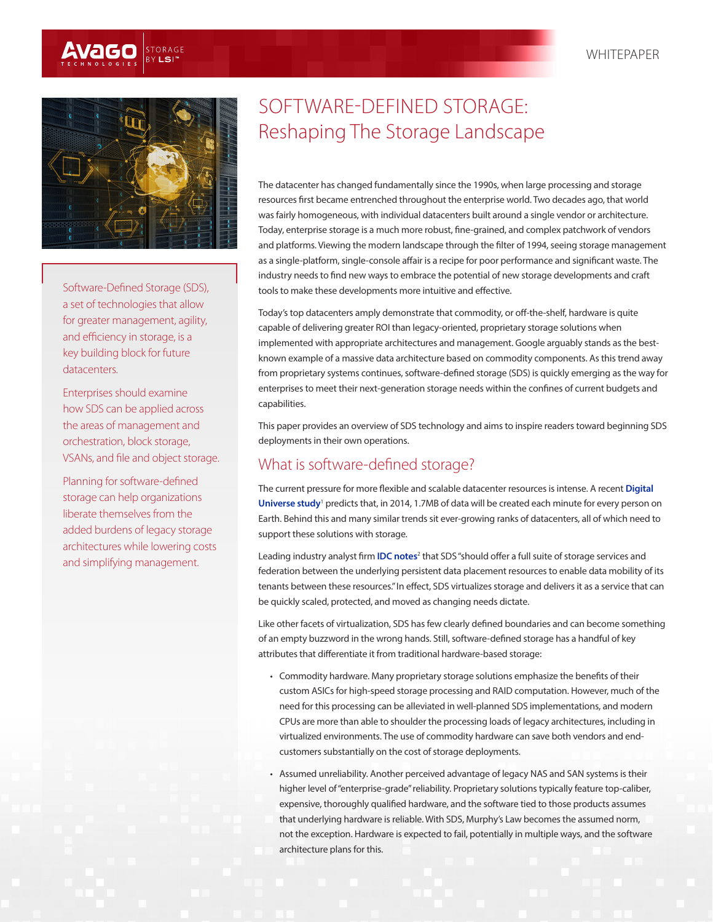



Software-Defined Storage (SDS), a set of technologies that allow for greater management, agility, and efficiency in storage, is a key building block for future datacenters.

Enterprises should examine how SDS can be applied across the areas of management and orchestration, block storage, VSANs, and file and object storage.

Planning for software-defined storage can help organizations liberate themselves from the added burdens of legacy storage architectures while lowering costs and simplifying management.

# SOFTWARE-DEFINED STORAGE: Reshaping The Storage Landscape

The datacenter has changed fundamentally since the 1990s, when large processing and storage resources first became entrenched throughout the enterprise world. Two decades ago, that world was fairly homogeneous, with individual datacenters built around a single vendor or architecture. Today, enterprise storage is a much more robust, fine-grained, and complex patchwork of vendors and platforms. Viewing the modern landscape through the filter of 1994, seeing storage management as a single-platform, single-console affair is a recipe for poor performance and significant waste. The industry needs to find new ways to embrace the potential of new storage developments and craft tools to make these developments more intuitive and effective.

Today's top datacenters amply demonstrate that commodity, or off-the-shelf, hardware is quite capable of delivering greater ROI than legacy-oriented, proprietary storage solutions when implemented with appropriate architectures and management. Google arguably stands as the bestknown example of a massive data architecture based on commodity components. As this trend away from proprietary systems continues, software-defined storage (SDS) is quickly emerging as the way for enterprises to meet their next-generation storage needs within the confines of current budgets and capabilities.

This paper provides an overview of SDS technology and aims to inspire readers toward beginning SDS deployments in their own operations.

## What is software-defined storage?

The current pressure for more flexible and scalable datacenter resources is intense. A recent **[Digital](http://www.emc.com/leadership/digital-universe/2014iview/index.htm)**  [Universe study](http://www.emc.com/leadership/digital-universe/2014iview/index.htm)<sup>1</sup> predicts that, in 2014, 1.7MB of data will be created each minute for every person on Earth. Behind this and many similar trends sit ever-growing ranks of datacenters, all of which need to support these solutions with storage.

Leading industry analyst firm **[IDC notes](https://www.google.com/url?sa=t&rct=j&q=&esrc=s&source=web&cd=1&cad=rja&uact=8&ved=0CCsQFjAA&url=http%3A%2F%2Fwww.idc.com%2Fgetdoc.jsp%3FcontainerId%3DprUS24068713&ei=-HJqU-76CZbZoATPgoBo&usg=AFQjCNHj8H29ndVRmRUxji9q0o5o4QNWBA&sig2=y3mYQwvqRrAQG_Tga9BmIQ)<sup>2</sup> that SDS** "should offer a full suite of storage services and federation between the underlying persistent data placement resources to enable data mobility of its tenants between these resources." In effect, SDS virtualizes storage and delivers it as a service that can be quickly scaled, protected, and moved as changing needs dictate.

Like other facets of virtualization, SDS has few clearly defined boundaries and can become something of an empty buzzword in the wrong hands. Still, software-defined storage has a handful of key attributes that differentiate it from traditional hardware-based storage:

- Commodity hardware. Many proprietary storage solutions emphasize the benefits of their custom ASICs for high-speed storage processing and RAID computation. However, much of the need for this processing can be alleviated in well-planned SDS implementations, and modern CPUs are more than able to shoulder the processing loads of legacy architectures, including in virtualized environments. The use of commodity hardware can save both vendors and endcustomers substantially on the cost of storage deployments.
- Assumed unreliability. Another perceived advantage of legacy NAS and SAN systems is their higher level of "enterprise-grade" reliability. Proprietary solutions typically feature top-caliber, expensive, thoroughly qualified hardware, and the software tied to those products assumes that underlying hardware is reliable. With SDS, Murphy's Law becomes the assumed norm, not the exception. Hardware is expected to fail, potentially in multiple ways, and the software architecture plans for this.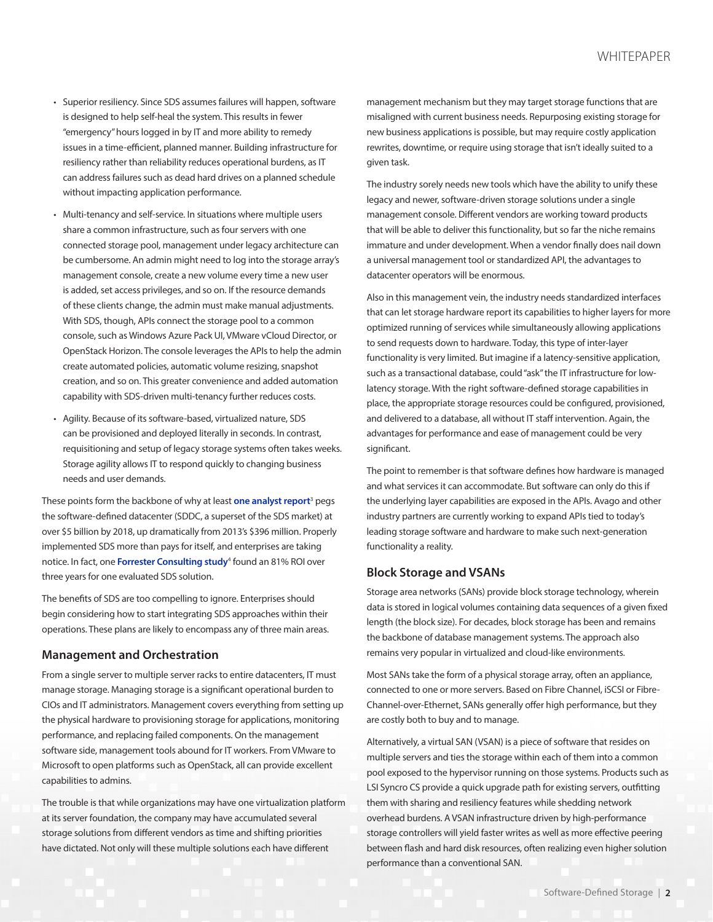- Superior resiliency. Since SDS assumes failures will happen, software is designed to help self-heal the system. This results in fewer "emergency" hours logged in by IT and more ability to remedy issues in a time-efficient, planned manner. Building infrastructure for resiliency rather than reliability reduces operational burdens, as IT can address failures such as dead hard drives on a planned schedule without impacting application performance.
- Multi-tenancy and self-service. In situations where multiple users share a common infrastructure, such as four servers with one connected storage pool, management under legacy architecture can be cumbersome. An admin might need to log into the storage array's management console, create a new volume every time a new user is added, set access privileges, and so on. If the resource demands of these clients change, the admin must make manual adjustments. With SDS, though, APIs connect the storage pool to a common console, such as Windows Azure Pack UI, VMware vCloud Director, or OpenStack Horizon. The console leverages the APIs to help the admin create automated policies, automatic volume resizing, snapshot creation, and so on. This greater convenience and added automation capability with SDS-driven multi-tenancy further reduces costs.
- Agility. Because of its software-based, virtualized nature, SDS can be provisioned and deployed literally in seconds. In contrast, requisitioning and setup of legacy storage systems often takes weeks. Storage agility allows IT to respond quickly to changing business needs and user demands.

These points form the backbone of why at least **[one analyst report](http://www.prweb.com/releases/software-defined-storage/sddc-market/prweb11551907.htm)**<sup>3</sup> pegs the software-defined datacenter (SDDC, a superset of the SDS market) at over \$5 billion by 2018, up dramatically from 2013's \$396 million. Properly implemented SDS more than pays for itself, and enterprises are taking notice. In fact, one **[Forrester Consulting study](http://finance.yahoo.com/news/forrester-research-market-study-confirms-160000541.html)**<sup>4</sup> found an 81% ROI over three years for one evaluated SDS solution.

The benefits of SDS are too compelling to ignore. Enterprises should begin considering how to start integrating SDS approaches within their operations. These plans are likely to encompass any of three main areas.

#### **Management and Orchestration**

From a single server to multiple server racks to entire datacenters, IT must manage storage. Managing storage is a significant operational burden to CIOs and IT administrators. Management covers everything from setting up the physical hardware to provisioning storage for applications, monitoring performance, and replacing failed components. On the management software side, management tools abound for IT workers. From VMware to Microsoft to open platforms such as OpenStack, all can provide excellent capabilities to admins.

The trouble is that while organizations may have one virtualization platform at its server foundation, the company may have accumulated several storage solutions from different vendors as time and shifting priorities have dictated. Not only will these multiple solutions each have different

management mechanism but they may target storage functions that are misaligned with current business needs. Repurposing existing storage for new business applications is possible, but may require costly application rewrites, downtime, or require using storage that isn't ideally suited to a given task.

The industry sorely needs new tools which have the ability to unify these legacy and newer, software-driven storage solutions under a single management console. Different vendors are working toward products that will be able to deliver this functionality, but so far the niche remains immature and under development. When a vendor finally does nail down a universal management tool or standardized API, the advantages to datacenter operators will be enormous.

Also in this management vein, the industry needs standardized interfaces that can let storage hardware report its capabilities to higher layers for more optimized running of services while simultaneously allowing applications to send requests down to hardware. Today, this type of inter-layer functionality is very limited. But imagine if a latency-sensitive application, such as a transactional database, could "ask" the IT infrastructure for lowlatency storage. With the right software-defined storage capabilities in place, the appropriate storage resources could be configured, provisioned, and delivered to a database, all without IT staff intervention. Again, the advantages for performance and ease of management could be very significant.

The point to remember is that software defines how hardware is managed and what services it can accommodate. But software can only do this if the underlying layer capabilities are exposed in the APIs. Avago and other industry partners are currently working to expand APIs tied to today's leading storage software and hardware to make such next-generation functionality a reality.

## **Block Storage and VSANs**

Storage area networks (SANs) provide block storage technology, wherein data is stored in logical volumes containing data sequences of a given fixed length (the block size). For decades, block storage has been and remains the backbone of database management systems. The approach also remains very popular in virtualized and cloud-like environments.

Most SANs take the form of a physical storage array, often an appliance, connected to one or more servers. Based on Fibre Channel, iSCSI or Fibre-Channel-over-Ethernet, SANs generally offer high performance, but they are costly both to buy and to manage.

Alternatively, a virtual SAN (VSAN) is a piece of software that resides on multiple servers and ties the storage within each of them into a common pool exposed to the hypervisor running on those systems. Products such as LSI Syncro CS provide a quick upgrade path for existing servers, outfitting them with sharing and resiliency features while shedding network overhead burdens. A VSAN infrastructure driven by high-performance storage controllers will yield faster writes as well as more effective peering between flash and hard disk resources, often realizing even higher solution performance than a conventional SAN.